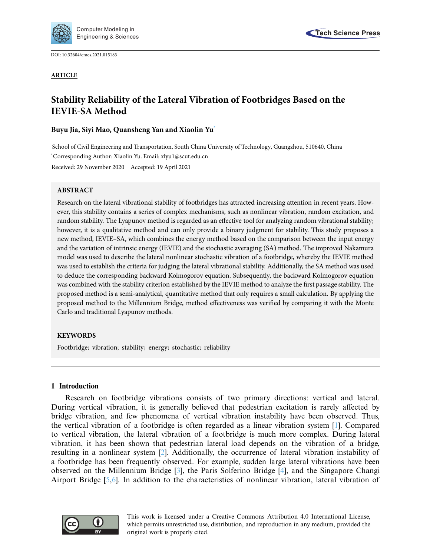

Engineering & Sciences

DOI: [10.32604/cmes.2021.015183](http://dx.doi.org/10.32604/cmes.2021.015183)

**ARTICLE**



# **Stability Reliability of the Lateral Vibration of Footbridges Based on the IEVIE-SA Method**

# **Buyu Jia, Siyi Mao, Quansheng Yan and Xiaolin Y[u\\*](#page-0-0)**

<span id="page-0-0"></span>School of Civil Engineering and Transportation, South China University of Technology, Guangzhou, 510640, China \* Corresponding Author: Xiaolin Yu. Email: xlyu1@scut.edu.cn Received: 29 November 2020 Accepted: 19 April 2021

## **ABSTRACT**

Research on the lateral vibrational stability of footbridges has attracted increasing attention in recent years. However, this stability contains a series of complex mechanisms, such as nonlinear vibration, random excitation, and random stability. The Lyapunov method is regarded as an effective tool for analyzing random vibrational stability; however, it is a qualitative method and can only provide a binary judgment for stability. This study proposes a new method, IEVIE–SA, which combines the energy method based on the comparison between the input energy and the variation of intrinsic energy (IEVIE) and the stochastic averaging (SA) method. The improved Nakamura model was used to describe the lateral nonlinear stochastic vibration of a footbridge, whereby the IEVIE method was used to establish the criteria for judging the lateral vibrational stability. Additionally, the SA method was used to deduce the corresponding backward Kolmogorov equation. Subsequently, the backward Kolmogorov equation was combined with the stability criterion established by the IEVIE method to analyze the first passage stability. The proposed method is a semi-analytical, quantitative method that only requires a small calculation. By applying the proposed method to the Millennium Bridge, method effectiveness was verified by comparing it with the Monte Carlo and traditional Lyapunov methods.

# **KEYWORDS**

Footbridge; vibration; stability; energy; stochastic; reliability

# **1 Introduction**

Research on footbridge vibrations consists of two primary directions: vertical and lateral. During vertical vibration, it is generally believed that pedestrian excitation is rarely affected by bridge vibration, and few phenomena of vertical vibration instability have been observed. Thus, the vertical vibration of a footbridge is often regarded as a linear vibration system [\[1\]](#page-14-0). Compared to vertical vibration, the lateral vibration of a footbridge is much more complex. During lateral vibration, it has been shown that pedestrian lateral load depends on the vibration of a bridge, resulting in a nonlinear system [\[2](#page-14-1)]. Additionally, the occurrence of lateral vibration instability of a footbridge has been frequently observed. For example, sudden large lateral vibrations have been observed on the Millennium Bridge [\[3\]](#page-14-2), the Paris Solferino Bridge [\[4\]](#page-14-3), and the Singapore Changi Airport Bridge [\[5](#page-14-4)[,6\]](#page-14-5). In addition to the characteristics of nonlinear vibration, lateral vibration of

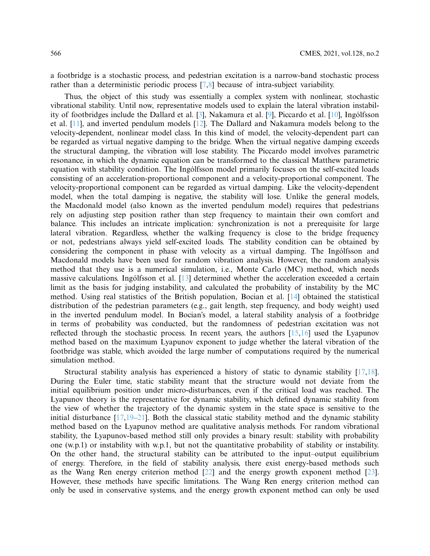a footbridge is a stochastic process, and pedestrian excitation is a narrow-band stochastic process rather than a deterministic periodic process [\[7](#page-14-6)[,8](#page-14-7)] because of intra-subject variability.

Thus, the object of this study was essentially a complex system with nonlinear, stochastic vibrational stability. Until now, representative models used to explain the lateral vibration instability of footbridges include the Dallard et al. [\[3](#page-14-2)], Nakamura et al. [\[9\]](#page-14-8), Piccardo et al. [\[10\]](#page-14-9), Ingólfsson et al. [\[11](#page-14-10)], and inverted pendulum models [\[12\]](#page-14-11). The Dallard and Nakamura models belong to the velocity-dependent, nonlinear model class. In this kind of model, the velocity-dependent part can be regarded as virtual negative damping to the bridge. When the virtual negative damping exceeds the structural damping, the vibration will lose stability. The Piccardo model involves parametric resonance, in which the dynamic equation can be transformed to the classical Matthew parametric equation with stability condition. The Ingólfsson model primarily focuses on the self-excited loads consisting of an acceleration-proportional component and a velocity-proportional component. The velocity-proportional component can be regarded as virtual damping. Like the velocity-dependent model, when the total damping is negative, the stability will lose. Unlike the general models, the Macdonald model (also known as the inverted pendulum model) requires that pedestrians rely on adjusting step position rather than step frequency to maintain their own comfort and balance. This includes an intricate implication: synchronization is not a prerequisite for large lateral vibration. Regardless, whether the walking frequency is close to the bridge frequency or not, pedestrians always yield self-excited loads. The stability condition can be obtained by considering the component in phase with velocity as a virtual damping. The Ingólfsson and Macdonald models have been used for random vibration analysis. However, the random analysis method that they use is a numerical simulation, i.e., Monte Carlo (MC) method, which needs massive calculations. Ingólfsson et al. [\[13\]](#page-14-12) determined whether the acceleration exceeded a certain limit as the basis for judging instability, and calculated the probability of instability by the MC method. Using real statistics of the British population, Bocian et al. [\[14\]](#page-14-13) obtained the statistical distribution of the pedestrian parameters (e.g., gait length, step frequency, and body weight) used in the inverted pendulum model. In Bocian's model, a lateral stability analysis of a footbridge in terms of probability was conducted, but the randomness of pedestrian excitation was not reflected through the stochastic process. In recent years, the authors  $[15,16]$  $[15,16]$  $[15,16]$  used the Lyapunov method based on the maximum Lyapunov exponent to judge whether the lateral vibration of the footbridge was stable, which avoided the large number of computations required by the numerical simulation method.

Structural stability analysis has experienced a history of static to dynamic stability [\[17](#page-15-0)[,18](#page-15-1)]. During the Euler time, static stability meant that the structure would not deviate from the initial equilibrium position under micro-disturbances, even if the critical load was reached. The Lyapunov theory is the representative for dynamic stability, which defined dynamic stability from the view of whether the trajectory of the dynamic system in the state space is sensitive to the initial disturbance  $[17,19-21]$  $[17,19-21]$  $[17,19-21]$ . Both the classical static stability method and the dynamic stability method based on the Lyapunov method are qualitative analysis methods. For random vibrational stability, the Lyapunov-based method still only provides a binary result: stability with probability one (w.p.1) or instability with w.p.1, but not the quantitative probability of stability or instability. On the other hand, the structural stability can be attributed to the input–output equilibrium of energy. Therefore, in the field of stability analysis, there exist energy-based methods such as the Wang Ren energy criterion method [\[22\]](#page-15-4) and the energy growth exponent method [\[23](#page-15-5)]. However, these methods have specific limitations. The Wang Ren energy criterion method can only be used in conservative systems, and the energy growth exponent method can only be used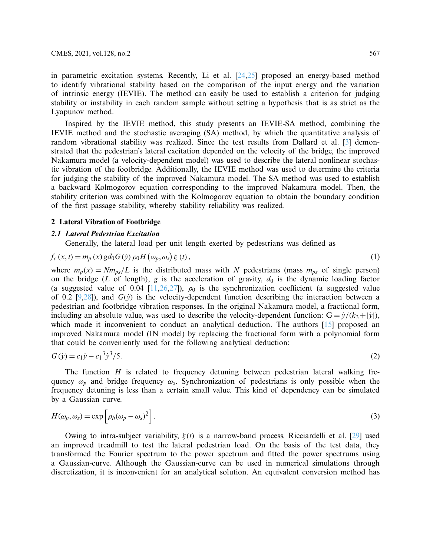<span id="page-2-0"></span>

in parametric excitation systems. Recently, Li et al. [\[24](#page-15-6)[,25](#page-15-7)] proposed an energy-based method to identify vibrational stability based on the comparison of the input energy and the variation of intrinsic energy (IEVIE). The method can easily be used to establish a criterion for judging stability or instability in each random sample without setting a hypothesis that is as strict as the Lyapunov method.

Inspired by the IEVIE method, this study presents an IEVIE-SA method, combining the IEVIE method and the stochastic averaging (SA) method, by which the quantitative analysis of random vibrational stability was realized. Since the test results from Dallard et al. [\[3](#page-14-2)] demonstrated that the pedestrian's lateral excitation depended on the velocity of the bridge, the improved Nakamura model (a velocity-dependent model) was used to describe the lateral nonlinear stochastic vibration of the footbridge. Additionally, the IEVIE method was used to determine the criteria for judging the stability of the improved Nakamura model. The SA method was used to establish a backward Kolmogorov equation corresponding to the improved Nakamura model. Then, the stability criterion was combined with the Kolmogorov equation to obtain the boundary condition of the first passage stability, whereby stability reliability was realized.

### **2 Lateral Vibration of Footbridge**

#### *2.1 Lateral Pedestrian Excitation*

Generally, the lateral load per unit length exerted by pedestrians was defined as

$$
f_c(x,t) = m_p(x) \, gd_0G(\dot{y}) \, \rho_0H(\omega_p,\omega_s) \xi(t),\tag{1}
$$

where  $m_p(x) = Nm_{ps}/L$  is the distributed mass with *N* pedestrians (mass  $m_{ps}$  of single person) on the bridge (*L* of length), *g* is the acceleration of gravity,  $d_0$  is the dynamic loading factor (a suggested value of 0.04 [\[11](#page-14-10)[,26](#page-15-8)[,27\]](#page-15-9)),  $\rho_0$  is the synchronization coefficient (a suggested value of 0.2  $[9,28]$  $[9,28]$  $[9,28]$ ), and  $G(y)$  is the velocity-dependent function describing the interaction between a pedestrian and footbridge vibration responses. In the original Nakamura model, a fractional form, including an absolute value, was used to describe the velocity-dependent function:  $G = \dot{y}/(k_3 + |\dot{y}|)$ , which made it inconvenient to conduct an analytical deduction. The authors [\[15\]](#page-14-14) proposed an improved Nakamura model (IN model) by replacing the fractional form with a polynomial form that could be conveniently used for the following analytical deduction:

<span id="page-2-1"></span>
$$
G(y) = c_1 y - c_1^3 y^3 / 5. \tag{2}
$$

The function  $H$  is related to frequency detuning between pedestrian lateral walking frequency  $\omega_p$  and bridge frequency  $\omega_s$ . Synchronization of pedestrians is only possible when the frequency detuning is less than a certain small value. This kind of dependency can be simulated by a Gaussian curve.

$$
H(\omega_p, \omega_s) = \exp\left[\rho_h(\omega_p - \omega_s)^2\right].
$$
\n(3)

Owing to intra-subject variability, ξ(*t*) is a narrow-band process. Ricciardelli et al. [\[29](#page-15-11)] used an improved treadmill to test the lateral pedestrian load. On the basis of the test data, they transformed the Fourier spectrum to the power spectrum and fitted the power spectrums using a Gaussian-curve. Although the Gaussian-curve can be used in numerical simulations through discretization, it is inconvenient for an analytical solution. An equivalent conversion method has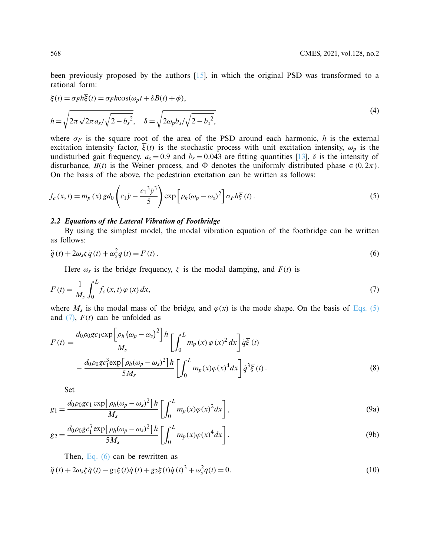<span id="page-3-4"></span>been previously proposed by the authors  $[15]$  $[15]$ , in which the original PSD was transformed to a rational form:

$$
\xi(t) = \sigma_F h \overline{\xi}(t) = \sigma_F h \cos(\omega_p t + \delta B(t) + \phi),
$$
  
\n
$$
h = \sqrt{2\pi \sqrt{2\pi} a_s / \sqrt{2 - b_s^2}}, \quad \delta = \sqrt{2\omega_p b_s / \sqrt{2 - b_s^2}},
$$
\n(4)

where  $\sigma_F$  is the square root of the area of the PSD around each harmonic, *h* is the external excitation intensity factor,  $\overline{\xi}(t)$  is the stochastic process with unit excitation intensity,  $\omega_p$  is the undisturbed gait frequency,  $a_s = 0.9$  and  $b_s = 0.043$  are fitting quantities [\[13\]](#page-14-12),  $\delta$  is the intensity of disturbance,  $B(t)$  is the Weiner process, and  $\Phi$  denotes the uniformly distributed phase  $\in (0, 2\pi)$ . On the basis of the above, the pedestrian excitation can be written as follows:

<span id="page-3-0"></span>
$$
f_c(x,t) = m_p(x) \, gd_0\left(c_1\dot{y} - \frac{c_1^3\dot{y}^3}{5}\right) \exp\left[\rho_h(\omega_p - \omega_s)^2\right] \sigma_F h\overline{\xi}(t) \,. \tag{5}
$$

#### *2.2 Equations of the Lateral Vibration of Footbridge*

<span id="page-3-2"></span>By using the simplest model, the modal vibration equation of the footbridge can be written as follows:

$$
\ddot{q}(t) + 2\omega_s \zeta \dot{q}(t) + \omega_s^2 q(t) = F(t). \tag{6}
$$

<span id="page-3-1"></span>Here  $\omega_s$  is the bridge frequency,  $\zeta$  is the modal damping, and  $F(t)$  is

$$
F(t) = \frac{1}{M_s} \int_0^L f_c(x, t) \varphi(x) dx,
$$
\n(7)

where  $M_s$  is the modal mass of the bridge, and  $\varphi(x)$  is the mode shape. On the basis of [Eqs. \(5\)](#page-3-0) and  $(7)$ ,  $F(t)$  can be unfolded as

$$
F(t) = \frac{d_0 \rho_0 g c_1 \exp \left[\rho_h \left(\omega_p - \omega_s\right)^2\right] h}{M_s} \left[\int_0^L m_p(x) \varphi(x)^2 dx\right] d\bar{\xi}(t)
$$

$$
-\frac{d_0 \rho_0 g c_1^3 \exp \left[\rho_h (\omega_p - \omega_s)^2\right] h}{5M_s} \left[\int_0^L m_p(x) \varphi(x)^4 dx\right] d^3 \bar{\xi}(t).
$$
(8)

Set

$$
g_1 = \frac{d_0 \rho_0 g c_1 \exp \left[\rho_h (\omega_p - \omega_s)^2\right] h}{M_s} \left[\int_0^L m_p(x) \varphi(x)^2 dx\right],\tag{9a}
$$

$$
g_2 = \frac{d_0 \rho_0 g c_1^3 \exp \left[\rho_h (\omega_p - \omega_s)^2\right] h}{5M_s} \left[\int_0^L m_p(x) \varphi(x)^4 dx\right].
$$
\n(9b)

<span id="page-3-3"></span>Then, Eq.  $(6)$  can be rewritten as

$$
\ddot{q}(t) + 2\omega_s \zeta \dot{q}(t) - g_1 \overline{\xi}(t) \dot{q}(t) + g_2 \overline{\xi}(t) \dot{q}(t)^3 + \omega_s^2 q(t) = 0.
$$
\n(10)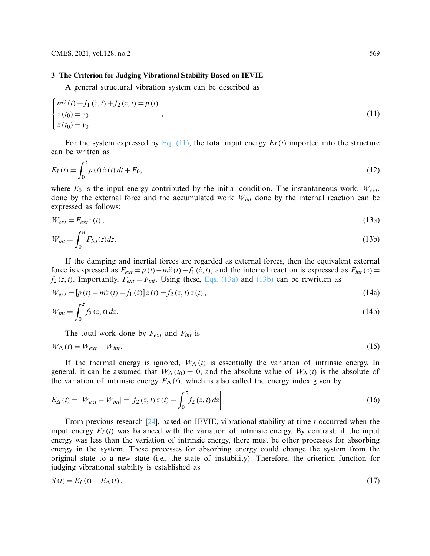#### **3 The Criterion for Judging Vibrational Stability Based on IEVIE**

<span id="page-4-0"></span>A general structural vibration system can be described as

$$
\begin{cases}\n m\ddot{z}(t) + f_1(\dot{z}, t) + f_2(z, t) = p(t) \\
 z(t_0) = z_0 \\
 \dot{z}(t_0) = v_0\n\end{cases},
$$
\n(11)

For the system expressed by Eq.  $(11)$ , the total input energy  $E_I(t)$  imported into the structure can be written as

$$
E_I(t) = \int_0^t p(t) \dot{z}(t) dt + E_0,
$$
\n(12)

where  $E_0$  is the input energy contributed by the initial condition. The instantaneous work,  $W_{ext}$ , done by the external force and the accumulated work *Wint* done by the internal reaction can be expressed as follows:

$$
W_{ext} = F_{ext}z(t),
$$
\n(13a)

$$
W_{int} = \int_0^u F_{int}(z)dz.
$$
 (13b)

If the damping and inertial forces are regarded as external forces, then the equivalent external force is expressed as  $F_{ext} = p(t) - m\ddot{z}(t) - f_1(\dot{z}, t)$ , and the internal reaction is expressed as  $F_{int}(z) =$  $f_2(z,t)$ . Importantly,  $F_{ext} = F_{int}$ . Using these, [Eqs. \(13a\)](#page-4-1) and [\(13b\)](#page-4-2) can be rewritten as

$$
W_{ext} = [p(t) - m\ddot{z}(t) - f_1(\dot{z})] z(t) = f_2(z, t) z(t),
$$
\n(14a)

$$
W_{int} = \int_0^z f_2(z, t) dz.
$$
 (14b)

<span id="page-4-2"></span><span id="page-4-1"></span>The total work done by *Fext* and *Fint* is

$$
W_{\Delta}(t) = W_{ext} - W_{int}.\tag{15}
$$

If the thermal energy is ignored,  $W_{\Delta}(t)$  is essentially the variation of intrinsic energy. In general, it can be assumed that  $W_{\Delta}(t_0) = 0$ , and the absolute value of  $W_{\Delta}(t)$  is the absolute of the variation of intrinsic energy  $E_{\Delta}(t)$ , which is also called the energy index given by

$$
E_{\Delta}(t) = |W_{ext} - W_{int}| = \left| f_2(z, t) z(t) - \int_0^z f_2(z, t) dz \right|.
$$
 (16)

From previous research [\[24\]](#page-15-6), based on IEVIE, vibrational stability at time *t* occurred when the input energy  $E_I(t)$  was balanced with the variation of intrinsic energy. By contrast, if the input energy was less than the variation of intrinsic energy, there must be other processes for absorbing energy in the system. These processes for absorbing energy could change the system from the original state to a new state (i.e., the state of instability). Therefore, the criterion function for judging vibrational stability is established as

<span id="page-4-3"></span>
$$
S(t) = E_I(t) - E_\Delta(t). \tag{17}
$$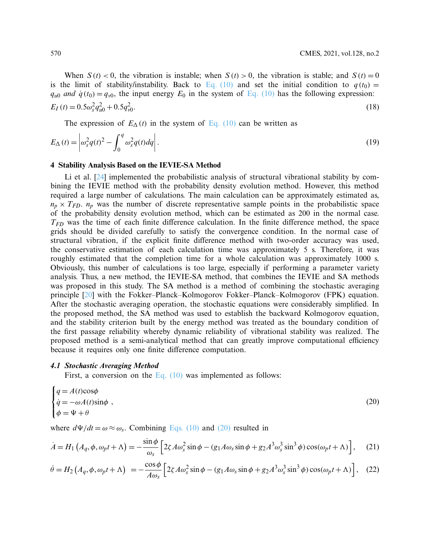When  $S(t) < 0$ , the vibration is instable; when  $S(t) > 0$ , the vibration is stable; and  $S(t) = 0$ is the limit of stability/instability. Back to [Eq. \(10\)](#page-3-3) and set the initial condition to  $q(t_0)$  =  $q_{u0}$  *and*  $\dot{q}(t_0) = q_{v0}$ , the input energy  $E_0$  in the system of [Eq. \(10\)](#page-3-3) has the following expression:  $E_I(t) = 0.5\omega_s^2 q_{u0}^2 + 0.5q_v^2$  $v_{\nu 0}^2$ . (18)

<span id="page-5-2"></span><span id="page-5-1"></span>The expression of  $E_{\Delta}(t)$  in the system of [Eq. \(10\)](#page-3-3) can be written as

$$
E_{\Delta}(t) = \left| \omega_s^2 q(t)^2 - \int_0^q \omega_s^2 q(t) dq \right|.
$$
 (19)

#### **4 Stability Analysis Based on the IEVIE-SA Method**

Li et al. [\[24](#page-15-6)] implemented the probabilistic analysis of structural vibrational stability by combining the IEVIE method with the probability density evolution method. However, this method required a large number of calculations. The main calculation can be approximately estimated as,  $n_p \times T_{FD}$ .  $n_p$  was the number of discrete representative sample points in the probabilistic space of the probability density evolution method, which can be estimated as 200 in the normal case. *TFD* was the time of each finite difference calculation. In the finite difference method, the space grids should be divided carefully to satisfy the convergence condition. In the normal case of structural vibration, if the explicit finite difference method with two-order accuracy was used, the conservative estimation of each calculation time was approximately 5 s. Therefore, it was roughly estimated that the completion time for a whole calculation was approximately 1000 s. Obviously, this number of calculations is too large, especially if performing a parameter variety analysis. Thus, a new method, the IEVIE-SA method, that combines the IEVIE and SA methods was proposed in this study. The SA method is a method of combining the stochastic averaging principle [\[20](#page-15-12)] with the Fokker–Planck–Kolmogorov Fokker–Planck–Kolmogorov (FPK) equation. After the stochastic averaging operation, the stochastic equations were considerably simplified. In the proposed method, the SA method was used to establish the backward Kolmogorov equation, and the stability criterion built by the energy method was treated as the boundary condition of the first passage reliability whereby dynamic reliability of vibrational stability was realized. The proposed method is a semi-analytical method that can greatly improve computational efficiency because it requires only one finite difference computation.

#### *4.1 Stochastic Averaging Method*

<span id="page-5-0"></span>First, a conversion on the Eq.  $(10)$  was implemented as follows:

$$
\begin{cases}\nq = A(t)\cos\phi \\
\dot{q} = -\omega A(t)\sin\phi, \\
\phi = \Psi + \theta\n\end{cases}
$$
\n(20)

where  $d\Psi/dt = \omega \approx \omega_s$ . Combining [Eqs. \(10\)](#page-3-3) and [\(20\)](#page-5-0) resulted in

$$
\dot{A} = H_1 \left( A_q, \phi, \omega_p t + \Lambda \right) = -\frac{\sin \phi}{\omega_s} \left[ 2\zeta A \omega_s^2 \sin \phi - (g_1 A \omega_s \sin \phi + g_2 A^3 \omega_s^3 \sin^3 \phi) \cos(\omega_p t + \Lambda) \right], \quad (21)
$$

$$
\dot{\theta} = H_2 \left( A_q, \phi, \omega_p t + \Lambda \right) = -\frac{\cos \phi}{A \omega_s} \left[ 2\zeta A \omega_s^2 \sin \phi - (g_1 A \omega_s \sin \phi + g_2 A^3 \omega_s^3 \sin^3 \phi) \cos(\omega_p t + \Lambda) \right], \quad (22)
$$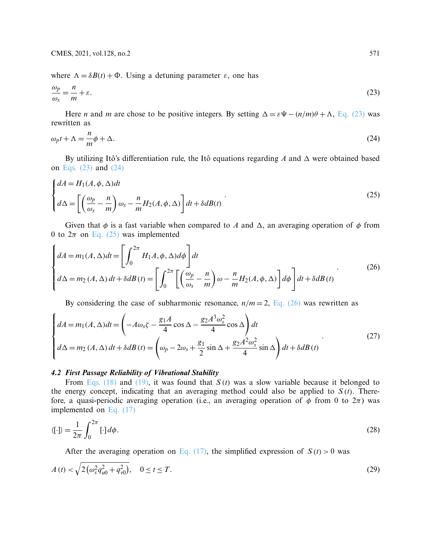where  $\Lambda = \delta B(t) + \Phi$ . Using a detuning parameter  $\varepsilon$ , one has

<span id="page-6-0"></span>
$$
\frac{\omega_p}{\omega_s} = \frac{n}{m} + \varepsilon. \tag{23}
$$

<span id="page-6-1"></span>Here *n* and *m* are chose to be positive integers. By setting  $\Delta = \varepsilon \Psi - (n/m)\theta + \Lambda$ , [Eq. \(23\)](#page-6-0) was rewritten as

$$
\omega_p t + \Lambda = -\frac{n}{m}\phi + \Delta. \tag{24}
$$

<span id="page-6-2"></span>By utilizing Itô's differentiation rule, the Itô equations regarding  $A$  and  $\Delta$  were obtained based on [Eqs. \(23\)](#page-6-0) and [\(24\)](#page-6-1)

$$
\begin{cases}\ndA = H_1(A, \phi, \Delta)dt \\
d\Delta = \left[ \left( \frac{\omega_p}{\omega_s} - \frac{n}{m} \right) \omega_s - \frac{n}{m} H_2(A, \phi, \Delta) \right] dt + \delta dB(t)\n\end{cases} \tag{25}
$$

Given that  $\phi$  is a fast variable when compared to *A* and  $\Delta$ , an averaging operation of  $\phi$  from 0 to  $2\pi$  on [Eq. \(25\)](#page-6-2) was implemented

<span id="page-6-3"></span>
$$
\begin{cases}\ndA = m_1(A, \Delta)dt = \left[\int_0^{2\pi} H_1A, \phi, \Delta)d\phi\right]dt \\
d\Delta = m_2(A, \Delta)dt + \delta dB(t) = \left[\int_0^{2\pi} \left[\left(\frac{\omega_p}{\omega_s} - \frac{n}{m}\right)\omega - \frac{n}{m}H_2(A, \phi, \Delta)\right]d\phi\right]dt + \delta dB(t)\n\end{cases} (26)
$$

<span id="page-6-6"></span>By considering the case of subharmonic resonance,  $n/m = 2$ , [Eq. \(26\)](#page-6-3) was rewritten as

$$
\begin{cases}\ndA = m_1(A, \Delta)dt = \left(-A\omega_s \zeta - \frac{g_1 A}{4}\cos\Delta - \frac{g_2 A^3 \omega_s^2}{4}\cos\Delta\right)dt \\
d\Delta = m_2(A, \Delta)dt + \delta dB(t) = \left(\omega_p - 2\omega_s + \frac{g_1}{2}\sin\Delta + \frac{g_2 A^2 \omega_s^2}{4}\sin\Delta\right)dt + \delta dB(t)\n\end{cases} (27)
$$

### *4.2 First Passage Reliability of Vibrational Stability*

From [Eqs. \(18\)](#page-5-1) and [\(19\),](#page-5-2) it was found that *S* (*t*) was a slow variable because it belonged to the energy concept, indicating that an averaging method could also be applied to  $S(t)$ . Therefore, a quasi-periodic averaging operation (i.e., an averaging operation of  $\phi$  from 0 to  $2\pi$ ) was implemented on [Eq. \(17\)](#page-4-3)

$$
\langle [\cdot] \rangle = \frac{1}{2\pi} \int_0^{2\pi} [\cdot] d\phi. \tag{28}
$$

<span id="page-6-5"></span><span id="page-6-4"></span>After the averaging operation on [Eq. \(17\),](#page-4-3) the simplified expression of  $S(t) > 0$  was

$$
A(t) < \sqrt{2\left(\omega_s^2 q_{u0}^2 + q_{v0}^2\right)}, \quad 0 \le t \le T. \tag{29}
$$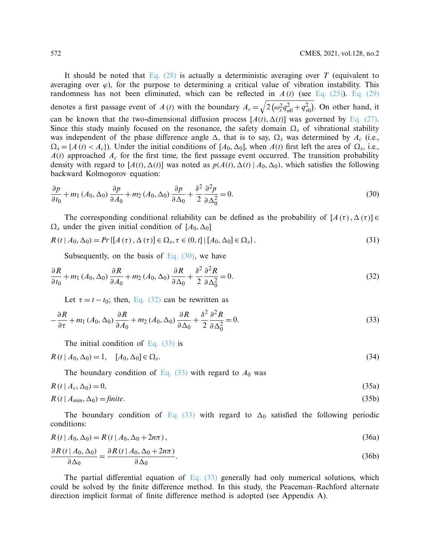It should be noted that [Eq. \(28\)](#page-6-4) is actually a deterministic averaging over *T* (equivalent to averaging over  $\varphi$ ), for the purpose to determining a critical value of vibration instability. This randomness has not been eliminated, which can be reflected in *A* (*t*) (see [Eq. \(25\)\)](#page-6-2). [Eq. \(29\)](#page-6-5) denotes a first passage event of *A*(*t*) with the boundary  $A_c = \sqrt{2(\omega_s^2 q_{u0}^2 + q_{v0}^2)}$ . On other hand, it can be known that the two-dimensional diffusion process  $[A(t), \Delta(t)]$  was governed by [Eq. \(27\).](#page-6-6) Since this study mainly focused on the resonance, the safety domain  $\Omega_s$  of vibrational stability was independent of the phase difference angle  $\Delta$ , that is to say,  $\Omega_s$  was determined by  $A_c$  (i.e.,  $\Omega_s = \{A(t) < A_c\}$ ). Under the initial conditions of  $[A_0, \Delta_0]$ , when  $A(t)$  first left the area of  $\Omega_s$ , i.e.,  $A(t)$  approached  $A_c$  for the first time, the first passage event occurred. The transition probability density with regard to  $[A(t), \Delta(t)]$  was noted as  $p(A(t), \Delta(t) | A_0, \Delta_0)$ , which satisfies the following backward Kolmogorov equation:

<span id="page-7-0"></span>
$$
\frac{\partial p}{\partial t_0} + m_1 \left( A_0, \Delta_0 \right) \frac{\partial p}{\partial A_0} + m_2 \left( A_0, \Delta_0 \right) \frac{\partial p}{\partial \Delta_0} + \frac{\delta^2}{2} \frac{\partial^2 p}{\partial \Delta_0^2} = 0. \tag{30}
$$

The corresponding conditional reliability can be defined as the probability of  $[A(\tau), \Delta(\tau)] \in$  $\Omega_s$  under the given initial condition of  $[A_0, \Delta_0]$ 

$$
R(t | A_0, \Delta_0) = Pr\{ [A(\tau), \Delta(\tau)] \in \Omega_s, \tau \in (0, t] \mid [A_0, \Delta_0] \in \Omega_s \}.
$$
\n(31)

<span id="page-7-1"></span>Subsequently, on the basis of Eq.  $(30)$ , we have

$$
\frac{\partial R}{\partial t_0} + m_1 \left( A_0, \Delta_0 \right) \frac{\partial R}{\partial A_0} + m_2 \left( A_0, \Delta_0 \right) \frac{\partial R}{\partial \Delta_0} + \frac{\delta^2}{2} \frac{\partial^2 R}{\partial \Delta_0^2} = 0. \tag{32}
$$

<span id="page-7-2"></span>Let  $\tau = t - t_0$ ; then, [Eq. \(32\)](#page-7-1) can be rewritten as

$$
-\frac{\partial R}{\partial \tau} + m_1 \left( A_0, \Delta_0 \right) \frac{\partial R}{\partial A_0} + m_2 \left( A_0, \Delta_0 \right) \frac{\partial R}{\partial \Delta_0} + \frac{\delta^2}{2} \frac{\partial^2 R}{\partial \Delta_0^2} = 0. \tag{33}
$$

<span id="page-7-3"></span>The initial condition of Eq.  $(33)$  is

$$
R(t | A_0, \Delta_0) = 1, \quad [A_0, \Delta_0] \in \Omega_s.
$$
\n(34)

<span id="page-7-5"></span><span id="page-7-4"></span>The boundary condition of Eq.  $(33)$  with regard to  $A_0$  was

$$
R(t \mid A_c, \Delta_0) = 0,\tag{35a}
$$

$$
R(t \mid A_{min}, \Delta_0) = \text{finite.} \tag{35b}
$$

The boundary condition of [Eq. \(33\)](#page-7-2) with regard to  $\Delta_0$  satisfied the following periodic conditions:

$$
R(t | A_0, \Delta_0) = R(t | A_0, \Delta_0 + 2n\pi),
$$
\n(36a)

$$
\frac{\partial R(t \mid A_0, \Delta_0)}{\partial \Delta_0} = \frac{\partial R(t \mid A_0, \Delta_0 + 2n\pi)}{\partial \Delta_0}.
$$
\n(36b)

The partial differential equation of [Eq. \(33\)](#page-7-2) generally had only numerical solutions, which could be solved by the finite difference method. In this study, the Peaceman–Rachford alternate direction implicit format of finite difference method is adopted (see Appendix A).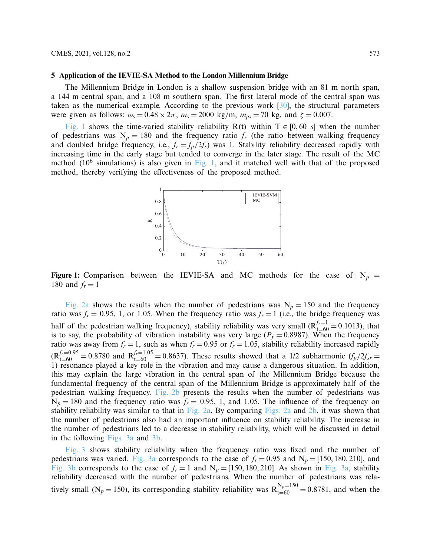#### **5 Application of the IEVIE-SA Method to the London Millennium Bridge**

The Millennium Bridge in London is a shallow suspension bridge with an 81 m north span, a 144 m central span, and a 108 m southern span. The first lateral mode of the central span was taken as the numerical example. According to the previous work [\[30\]](#page-15-13), the structural parameters were given as follows:  $\omega_s = 0.48 \times 2\pi$ ,  $m_s = 2000 \text{ kg/m}$ ,  $m_{ps} = 70 \text{ kg}$ , and  $\zeta = 0.007$ .

[Fig. 1](#page-8-0) shows the time-varied stability reliability R(t) within  $T \in [0, 60 \text{ s}]$  when the number of pedestrians was  $N_p = 180$  and the frequency ratio  $f_r$  (the ratio between walking frequency and doubled bridge frequency, i.e.,  $f_r = f_p/2f_s$ ) was 1. Stability reliability decreased rapidly with increasing time in the early stage but tended to converge in the later stage. The result of the MC method  $(10^6$  simulations) is also given in [Fig. 1,](#page-8-0) and it matched well with that of the proposed method, thereby verifying the effectiveness of the proposed method.

<span id="page-8-0"></span>

**Figure 1:** Comparison between the IEVIE-SA and MC methods for the case of  $N_p$  = 180 and  $f_r = 1$ 

[Fig. 2a](#page-9-0) shows the results when the number of pedestrians was  $N_p = 150$  and the frequency ratio was  $f_r = 0.95$ , 1, or 1.05. When the frequency ratio was  $f_r = 1$  (i.e., the bridge frequency was half of the pedestrian walking frequency), stability reliability was very small ( $R_{t=60}^{f=1}$  = 0.1013), that is to say, the probability of vibration instability was very large ( $P_f = 0.8987$ ). When the frequency ratio was away from  $f_r = 1$ , such as when  $f_r = 0.95$  or  $f_r = 1.05$ , stability reliability increased rapidly  $R_{t=60}^{f_r=0.95} = 0.8780$  and  $R_{t=60}^{f_r=1.05} = 0.8637$ . These results showed that a 1/2 subharmonic  $(f_p/2f_{sr} = 0.8637)$ 1) resonance played a key role in the vibration and may cause a dangerous situation. In addition, this may explain the large vibration in the central span of the Millennium Bridge because the fundamental frequency of the central span of the Millennium Bridge is approximately half of the pedestrian walking frequency. [Fig. 2b](#page-9-0) presents the results when the number of pedestrians was  $N_p = 180$  and the frequency ratio was  $f_r = 0.95$ , 1, and 1.05. The influence of the frequency on stability reliability was similar to that in [Fig. 2a.](#page-9-0) By comparing [Figs. 2a](#page-9-0) and [2b,](#page-9-0) it was shown that the number of pedestrians also had an important influence on stability reliability. The increase in the number of pedestrians led to a decrease in stability reliability, which will be discussed in detail in the following [Figs. 3a](#page-9-1) and [3b.](#page-9-1)

[Fig. 3](#page-9-1) shows stability reliability when the frequency ratio was fixed and the number of pedestrians was varied. [Fig. 3a](#page-9-1) corresponds to the case of  $f_r = 0.95$  and  $N_p = [150, 180, 210]$ , and [Fig. 3b](#page-9-1) corresponds to the case of  $f_r = 1$  and  $N_p = [150, 180, 210]$ . As shown in [Fig. 3a,](#page-9-1) stability reliability decreased with the number of pedestrians. When the number of pedestrians was relatively small (N<sub>p</sub> = 150), its corresponding stability reliability was  $R_{t=60}^{N_p=150} = 0.8781$ , and when the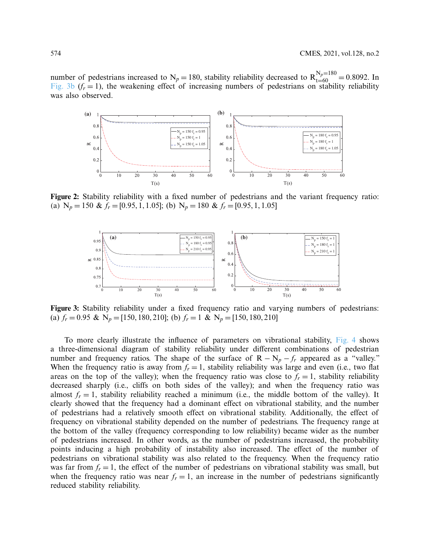number of pedestrians increased to  $N_p = 180$ , stability reliability decreased to  $R_{t=60}^{N_p=180} = 0.8092$ . In [Fig. 3b](#page-9-1)  $(f<sub>r</sub> = 1)$ , the weakening effect of increasing numbers of pedestrians on stability reliability was also observed.



**Figure 2:** Stability reliability with a fixed number of pedestrians and the variant frequency ratio: (a)  $N_p = 150 \& f_r = [0.95, 1, 1.05]$ ; (b)  $N_p = 180 \& f_r = [0.95, 1, 1.05]$ 

<span id="page-9-1"></span><span id="page-9-0"></span>

**Figure 3:** Stability reliability under a fixed frequency ratio and varying numbers of pedestrians: (a)  $f_r = 0.95 \& N_p = [150, 180, 210]$ ; (b)  $f_r = 1 \& N_p = [150, 180, 210]$ 

To more clearly illustrate the influence of parameters on vibrational stability, [Fig. 4](#page-10-0) shows a three-dimensional diagram of stability reliability under different combinations of pedestrian number and frequency ratios. The shape of the surface of  $R - N_p - f_r$  appeared as a "valley." When the frequency ratio is away from  $f_r = 1$ , stability reliability was large and even (i.e., two flat areas on the top of the valley); when the frequency ratio was close to  $f_r = 1$ , stability reliability decreased sharply (i.e., cliffs on both sides of the valley); and when the frequency ratio was almost  $f_r = 1$ , stability reliability reached a minimum (i.e., the middle bottom of the valley). It clearly showed that the frequency had a dominant effect on vibrational stability, and the number of pedestrians had a relatively smooth effect on vibrational stability. Additionally, the effect of frequency on vibrational stability depended on the number of pedestrians. The frequency range at the bottom of the valley (frequency corresponding to low reliability) became wider as the number of pedestrians increased. In other words, as the number of pedestrians increased, the probability points inducing a high probability of instability also increased. The effect of the number of pedestrians on vibrational stability was also related to the frequency. When the frequency ratio was far from  $f_r = 1$ , the effect of the number of pedestrians on vibrational stability was small, but when the frequency ratio was near  $f_r = 1$ , an increase in the number of pedestrians significantly reduced stability reliability.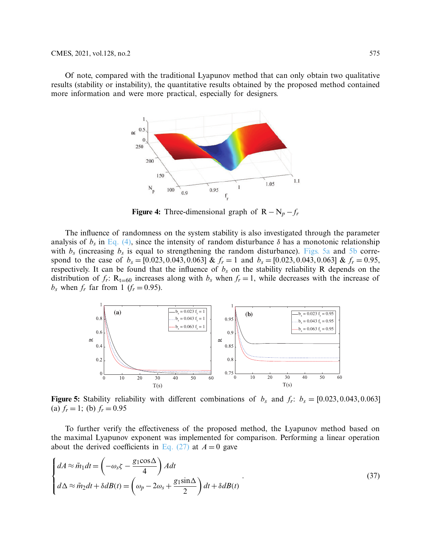Of note, compared with the traditional Lyapunov method that can only obtain two qualitative results (stability or instability), the quantitative results obtained by the proposed method contained more information and were more practical, especially for designers.



<span id="page-10-0"></span>**Figure 4:** Three-dimensional graph of  $R - N_p - f_r$ 

The influence of randomness on the system stability is also investigated through the parameter analysis of  $b_s$  in [Eq. \(4\),](#page-3-4) since the intensity of random disturbance  $\delta$  has a monotonic relationship with  $b_s$  (increasing  $b_s$  is equal to strengthening the random disturbance). [Figs. 5a](#page-10-1) and [5b](#page-10-1) correspond to the case of  $b_s = [0.023, 0.043, 0.063]$  &  $f_r = 1$  and  $b_s = [0.023, 0.043, 0.063]$  &  $f_r = 0.95$ , respectively. It can be found that the influence of  $b_s$  on the stability reliability R depends on the distribution of  $f_r$ :  $R_{t=60}$  increases along with  $b_s$  when  $f_r = 1$ , while decreases with the increase of  $b_s$  when  $f_r$  far from 1 ( $f_r = 0.95$ ).

<span id="page-10-1"></span>

**Figure 5:** Stability reliability with different combinations of  $b_s$  and  $f_r$ :  $b_s = [0.023, 0.043, 0.063]$ (a)  $f_r = 1$ ; (b)  $f_r = 0.95$ 

To further verify the effectiveness of the proposed method, the Lyapunov method based on the maximal Lyapunov exponent was implemented for comparison. Performing a linear operation about the derived coefficients in [Eq. \(27\)](#page-6-6) at  $A = 0$  gave

<span id="page-10-2"></span>
$$
\begin{cases}\ndA \approx \tilde{m}_1 dt = \left(-\omega_s \zeta - \frac{g_1 \cos \Delta}{4}\right) A dt \\
d\Delta \approx \tilde{m}_2 dt + \delta dB(t) = \left(\omega_p - 2\omega_s + \frac{g_1 \sin \Delta}{2}\right) dt + \delta dB(t)\n\end{cases} \tag{37}
$$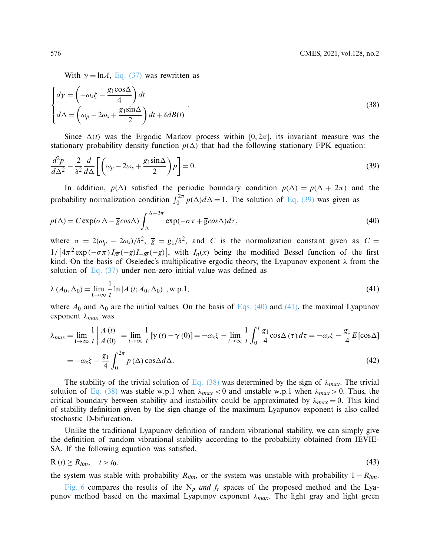<span id="page-11-3"></span><span id="page-11-0"></span>With  $\gamma = \ln A$ , [Eq. \(37\)](#page-10-2) was rewritten as

$$
\begin{cases}\nd\gamma = \left(-\omega_s \zeta - \frac{g_1 \cos \Delta}{4}\right) dt \\
d\Delta = \left(\omega_p - 2\omega_s + \frac{g_1 \sin \Delta}{2}\right) dt + \delta dB(t)\n\end{cases} \tag{38}
$$

Since  $\Delta(t)$  was the Ergodic Markov process within  $[0, 2\pi]$ , its invariant measure was the stationary probability density function  $p(\Delta)$  that had the following stationary FPK equation:

$$
\frac{d^2p}{d\Delta^2} - \frac{2}{\delta^2} \frac{d}{d\Delta} \left[ \left( \omega_p - 2\omega_s + \frac{g_1 \sin \Delta}{2} \right) p \right] = 0. \tag{39}
$$

<span id="page-11-1"></span>In addition,  $p(\Delta)$  satisfied the periodic boundary condition  $p(\Delta) = p(\Delta + 2\pi)$  and the probability normalization condition  $\int_0^{2\pi} p(\Delta) d\Delta = 1$ . The solution of [Eq. \(39\)](#page-11-0) was given as

$$
p(\Delta) = C \exp(\overline{\sigma} \Delta - \overline{g} \cos \Delta) \int_{\Delta}^{\Delta + 2\pi} \exp(-\overline{\sigma} \tau + \overline{g} \cos \Delta) d\tau, \tag{40}
$$

where  $\overline{\sigma} = 2(\omega_p - 2\omega_s)/\delta^2$ ,  $\overline{g} = g_1/\delta^2$ , and *C* is the normalization constant given as *C* =  $1/\left[4\pi^2 \exp(-\overline{\sigma}\pi) I_{i\overline{\sigma}}(-\overline{g})I_{-i\overline{\sigma}}(-\overline{g})\right],$  with  $I_n(x)$  being the modified Bessel function of the first kind. On the basis of Oseledec's multiplicative ergodic theory, the Lyapunov exponent λ from the solution of Eq.  $(37)$  under non-zero initial value was defined as

<span id="page-11-2"></span>
$$
\lambda (A_0, \Delta_0) = \lim_{t \to \infty} \frac{1}{t} \ln |A(t; A_0, \Delta_0)|, \text{w.p.1},
$$
\n(41)

where  $A_0$  and  $\Delta_0$  are the initial values. On the basis of [Eqs. \(40\)](#page-11-1) and [\(41\),](#page-11-2) the maximal Lyapunov exponent λ*max* was

$$
\lambda_{max} = \lim_{t \to \infty} \frac{1}{t} \left| \frac{A(t)}{A(0)} \right| = \lim_{t \to \infty} \frac{1}{t} \left[ \gamma(t) - \gamma(0) \right] = -\omega_s \zeta - \lim_{t \to \infty} \frac{1}{t} \int_0^t \frac{g_1}{4} \cos \Delta(\tau) d\tau = -\omega_s \zeta - \frac{g_1}{4} E \left[ \cos \Delta \right]
$$

$$
= -\omega_s \zeta - \frac{g_1}{4} \int_0^{2\pi} p(\Delta) \cos \Delta d\Delta. \tag{42}
$$

The stability of the trivial solution of [Eq. \(38\)](#page-11-3) was determined by the sign of  $\lambda_{max}$ . The trivial solution of [Eq. \(38\)](#page-11-3) was stable w.p.1 when  $\lambda_{max}$  < 0 and unstable w.p.1 when  $\lambda_{max}$  > 0. Thus, the critical boundary between stability and instability could be approximated by  $\lambda_{max} = 0$ . This kind of stability definition given by the sign change of the maximum Lyapunov exponent is also called stochastic D-bifurcation.

Unlike the traditional Lyapunov definition of random vibrational stability, we can simply give the definition of random vibrational stability according to the probability obtained from IEVIE-SA. If the following equation was satisfied,

$$
R(t) \ge R_{lim}, \quad t > t_0. \tag{43}
$$

the system was stable with probability  $R_{lim}$ , or the system was unstable with probability  $1 - R_{lim}$ .

[Fig. 6](#page-12-0) compares the results of the  $N_p$  *and f<sub>r</sub>* spaces of the proposed method and the Lyapunov method based on the maximal Lyapunov exponent  $\lambda_{max}$ . The light gray and light green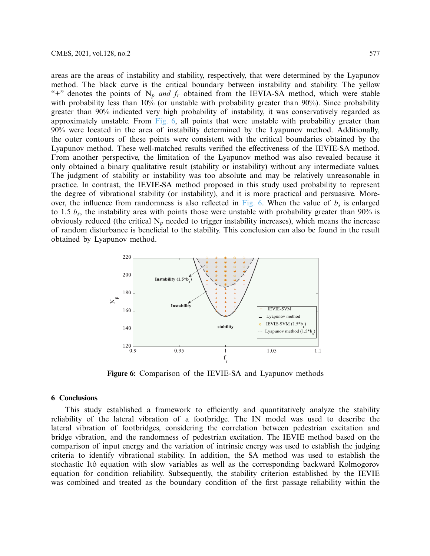areas are the areas of instability and stability, respectively, that were determined by the Lyapunov method. The black curve is the critical boundary between instability and stability. The yellow "+" denotes the points of  $N_p$  *and*  $f_r$  obtained from the IEVIA-SA method, which were stable with probability less than 10% (or unstable with probability greater than 90%). Since probability greater than 90% indicated very high probability of instability, it was conservatively regarded as approximately unstable. From  $Fig. 6$ , all points that were unstable with probability greater than 90% were located in the area of instability determined by the Lyapunov method. Additionally, the outer contours of these points were consistent with the critical boundaries obtained by the Lyapunov method. These well-matched results verified the effectiveness of the IEVIE-SA method. From another perspective, the limitation of the Lyapunov method was also revealed because it only obtained a binary qualitative result (stability or instability) without any intermediate values. The judgment of stability or instability was too absolute and may be relatively unreasonable in practice. In contrast, the IEVIE-SA method proposed in this study used probability to represent the degree of vibrational stability (or instability), and it is more practical and persuasive. More-over, the influence from randomness is also reflected in [Fig. 6.](#page-12-0) When the value of  $b_s$  is enlarged to 1.5 *bs*, the instability area with points those were unstable with probability greater than 90% is obviously reduced (the critical  $N_p$  needed to trigger instability increases), which means the increase of random disturbance is beneficial to the stability. This conclusion can also be found in the result obtained by Lyapunov method.



<span id="page-12-0"></span>**Figure 6:** Comparison of the IEVIE-SA and Lyapunov methods

### **6 Conclusions**

This study established a framework to efficiently and quantitatively analyze the stability reliability of the lateral vibration of a footbridge. The IN model was used to describe the lateral vibration of footbridges, considering the correlation between pedestrian excitation and bridge vibration, and the randomness of pedestrian excitation. The IEVIE method based on the comparison of input energy and the variation of intrinsic energy was used to establish the judging criteria to identify vibrational stability. In addition, the SA method was used to establish the stochastic Itô equation with slow variables as well as the corresponding backward Kolmogorov equation for condition reliability. Subsequently, the stability criterion established by the IEVIE was combined and treated as the boundary condition of the first passage reliability within the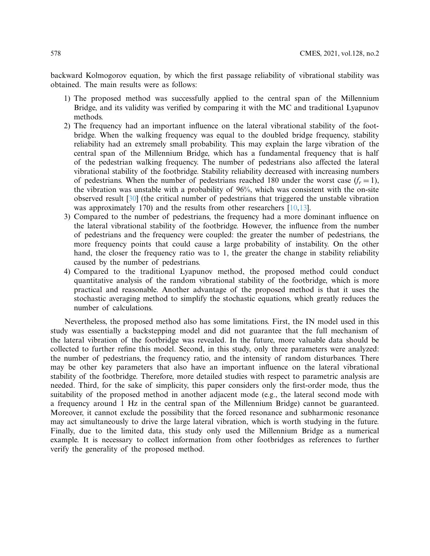backward Kolmogorov equation, by which the first passage reliability of vibrational stability was obtained. The main results were as follows:

- 1) The proposed method was successfully applied to the central span of the Millennium Bridge, and its validity was verified by comparing it with the MC and traditional Lyapunov methods.
- 2) The frequency had an important influence on the lateral vibrational stability of the footbridge. When the walking frequency was equal to the doubled bridge frequency, stability reliability had an extremely small probability. This may explain the large vibration of the central span of the Millennium Bridge, which has a fundamental frequency that is half of the pedestrian walking frequency. The number of pedestrians also affected the lateral vibrational stability of the footbridge. Stability reliability decreased with increasing numbers of pedestrians. When the number of pedestrians reached 180 under the worst case  $(f<sub>r</sub> = 1)$ , the vibration was unstable with a probability of 96%, which was consistent with the on-site observed result [\[30](#page-15-13)] (the critical number of pedestrians that triggered the unstable vibration was approximately 170) and the results from other researchers [\[10](#page-14-9)[,13](#page-14-12)].
- 3) Compared to the number of pedestrians, the frequency had a more dominant influence on the lateral vibrational stability of the footbridge. However, the influence from the number of pedestrians and the frequency were coupled: the greater the number of pedestrians, the more frequency points that could cause a large probability of instability. On the other hand, the closer the frequency ratio was to 1, the greater the change in stability reliability caused by the number of pedestrians.
- 4) Compared to the traditional Lyapunov method, the proposed method could conduct quantitative analysis of the random vibrational stability of the footbridge, which is more practical and reasonable. Another advantage of the proposed method is that it uses the stochastic averaging method to simplify the stochastic equations, which greatly reduces the number of calculations.

Nevertheless, the proposed method also has some limitations. First, the IN model used in this study was essentially a backstepping model and did not guarantee that the full mechanism of the lateral vibration of the footbridge was revealed. In the future, more valuable data should be collected to further refine this model. Second, in this study, only three parameters were analyzed: the number of pedestrians, the frequency ratio, and the intensity of random disturbances. There may be other key parameters that also have an important influence on the lateral vibrational stability of the footbridge. Therefore, more detailed studies with respect to parametric analysis are needed. Third, for the sake of simplicity, this paper considers only the first-order mode, thus the suitability of the proposed method in another adjacent mode (e.g., the lateral second mode with a frequency around 1 Hz in the central span of the Millennium Bridge) cannot be guaranteed. Moreover, it cannot exclude the possibility that the forced resonance and subharmonic resonance may act simultaneously to drive the large lateral vibration, which is worth studying in the future. Finally, due to the limited data, this study only used the Millennium Bridge as a numerical example. It is necessary to collect information from other footbridges as references to further verify the generality of the proposed method.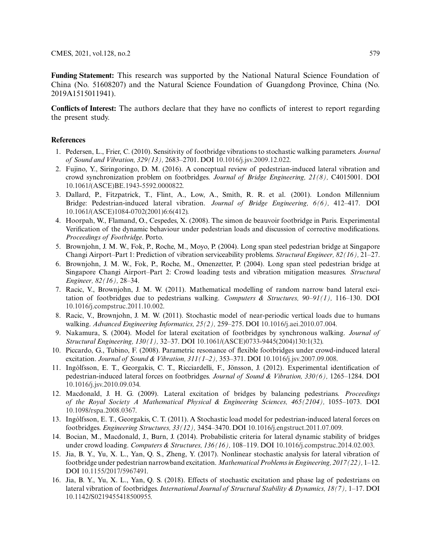**Funding Statement:** This research was supported by the National Natural Science Foundation of China (No. 51608207) and the Natural Science Foundation of Guangdong Province, China (No. 2019A1515011941).

**Conflicts of Interest:** The authors declare that they have no conflicts of interest to report regarding the present study.

### **References**

- <span id="page-14-0"></span>1. Pedersen, L., Frier, C. (2010). Sensitivity of footbridge vibrations to stochastic walking parameters. *Journal of Sound and Vibration, 329(13),* 2683–2701. DOI [10.1016/j.jsv.2009.12.022.](http://dx.doi.org/10.1016/j.jsv.2009.12.022)
- <span id="page-14-1"></span>2. Fujino, Y., Siringoringo, D. M. (2016). A conceptual review of pedestrian-induced lateral vibration and crowd synchronization problem on footbridges. *Journal of Bridge Engineering, 21(8),* C4015001. DOI [10.1061/\(ASCE\)BE.1943-5592.0000822.](http://dx.doi.org/10.1061/(ASCE)BE.1943-5592.0000822)
- <span id="page-14-2"></span>3. Dallard, P., Fitzpatrick, T., Flint, A., Low, A., Smith, R. R. et al. (2001). London Millennium Bridge: Pedestrian-induced lateral vibration. *Journal of Bridge Engineering, 6(6),* 412–417. DOI [10.1061/\(ASCE\)1084-0702\(2001\)6:6\(412\).](http://dx.doi.org/10.1061/(ASCE)1084-0702(2001)6:6(412))
- <span id="page-14-3"></span>4. Hoorpah, W., Flamand, O., Cespedes, X. (2008). The simon de beauvoir footbridge in Paris. Experimental Verification of the dynamic behaviour under pedestrian loads and discussion of corrective modifications. *Proceedings of Footbridge*. Porto.
- <span id="page-14-4"></span>5. Brownjohn, J. M. W., Fok, P., Roche, M., Moyo, P. (2004). Long span steel pedestrian bridge at Singapore Changi Airport–Part 1: Prediction of vibration serviceability problems. *Structural Engineer, 82(16),* 21–27.
- <span id="page-14-5"></span>6. Brownjohn, J. M. W., Fok, P., Roche, M., Omenzetter, P. (2004). Long span steel pedestrian bridge at Singapore Changi Airport–Part 2: Crowd loading tests and vibration mitigation measures. *Structural Engineer, 82(16),* 28–34.
- <span id="page-14-6"></span>7. Racic, V., Brownjohn, J. M. W. (2011). Mathematical modelling of random narrow band lateral excitation of footbridges due to pedestrians walking. *Computers & Structures, 90–91(1),* 116–130. DOI [10.1016/j.compstruc.2011.10.002.](http://dx.doi.org/10.1016/j.compstruc.2011.10.002)
- <span id="page-14-7"></span>8. Racic, V., Brownjohn, J. M. W. (2011). Stochastic model of near-periodic vertical loads due to humans walking. *Advanced Engineering Informatics, 25(2),* 259–275. DOI [10.1016/j.aei.2010.07.004.](http://dx.doi.org/10.1016/j.aei.2010.07.004)
- <span id="page-14-8"></span>9. Nakamura, S. (2004). Model for lateral excitation of footbridges by synchronous walking. *Journal of Structural Engineering, 130(1),* 32–37. DOI [10.1061/\(ASCE\)0733-9445\(2004\)130:1\(32\).](http://dx.doi.org/10.1061/(ASCE)0733-9445(2004)130:1(32))
- <span id="page-14-9"></span>10. Piccardo, G., Tubino, F. (2008). Parametric resonance of flexible footbridges under crowd-induced lateral excitation. *Journal of Sound & Vibration, 311(1–2),* 353–371. DOI [10.1016/j.jsv.2007.09.008.](http://dx.doi.org/10.1016/j.jsv.2007.09.008)
- <span id="page-14-10"></span>11. Ingólfsson, E. T., Georgakis, C. T., Ricciardelli, F., Jönsson, J. (2012). Experimental identification of pedestrian-induced lateral forces on footbridges. *Journal of Sound & Vibration, 330(6),* 1265–1284. DOI [10.1016/j.jsv.2010.09.034.](http://dx.doi.org/10.1016/j.jsv.2010.09.034)
- <span id="page-14-11"></span>12. Macdonald, J. H. G. (2009). Lateral excitation of bridges by balancing pedestrians. *Proceedings of the Royal Society A Mathematical Physical & Engineering Sciences, 465(2104),* 1055–1073. DOI [10.1098/rspa.2008.0367.](http://dx.doi.org/10.1098/rspa.2008.0367)
- <span id="page-14-12"></span>13. Ingólfsson, E. T., Georgakis, C. T. (2011). A Stochastic load model for pedestrian-induced lateral forces on footbridges. *Engineering Structures, 33(12),* 3454–3470. DOI [10.1016/j.engstruct.2011.07.009.](http://dx.doi.org/10.1016/j.engstruct.2011.07.009)
- <span id="page-14-13"></span>14. Bocian, M., Macdonald, J., Burn, J. (2014). Probabilistic criteria for lateral dynamic stability of bridges under crowd loading. *Computers & Structures, 136(16),* 108–119. DOI [10.1016/j.compstruc.2014.02.003.](http://dx.doi.org/10.1016/j.compstruc.2014.02.003)
- <span id="page-14-14"></span>15. Jia, B. Y., Yu, X. L., Yan, Q. S., Zheng, Y. (2017). Nonlinear stochastic analysis for lateral vibration of footbridge under pedestrian narrowband excitation. *Mathematical Problems in Engineering, 2017(22),* 1–12. DOI [10.1155/2017/5967491.](http://dx.doi.org/10.1155/2017/5967491)
- <span id="page-14-15"></span>16. Jia, B. Y., Yu, X. L., Yan, Q. S. (2018). Effects of stochastic excitation and phase lag of pedestrians on lateral vibration of footbridges. *International Journal of Structural Stability & Dynamics, 18(7),* 1–17. DOI [10.1142/S0219455418500955.](http://dx.doi.org/10.1142/S0219455418500955)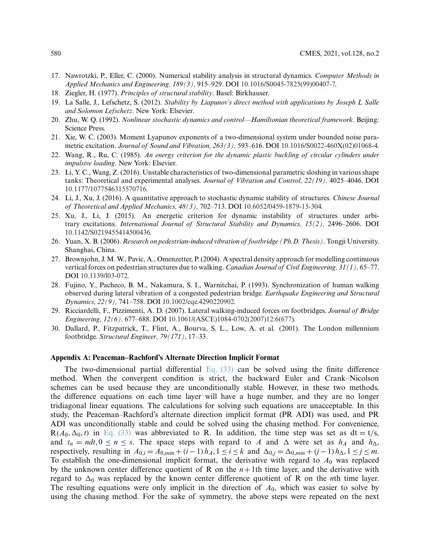- <span id="page-15-0"></span>17. Nawrotzki, P., Eller, C. (2000). Numerical stability analysis in structural dynamics. *Computer Methods in Applied Mechanics and Engineering, 189(3),* 915–929. DOI [10.1016/S0045-7825\(99\)00407-7.](http://dx.doi.org/10.1016/S0045-7825(99)00407-7)
- <span id="page-15-1"></span>18. Ziegler, H. (1977). *Principles of structural stability*. Basel: Birkhauser.
- <span id="page-15-2"></span>19. La Salle, J., Lefschetz, S. (2012). *Stability by Liapunov's direct method with applications by Joseph L Salle and Solomon Lefschetz*. New York: Elsevier.
- <span id="page-15-12"></span>20. Zhu, W. Q. (1992). *Nonlinear stochastic dynamics and control—Hamiltonian theoretical framework*. Beijing: Science Press.
- <span id="page-15-3"></span>21. Xie, W. C. (2003). Moment Lyapunov exponents of a two-dimensional system under bounded noise parametric excitation. *Journal of Sound and Vibration, 263(3),* 593–616. DOI [10.1016/S0022-460X\(02\)01068-4.](http://dx.doi.org/10.1016/S0022-460X(02)01068-4)
- <span id="page-15-4"></span>22. Wang, R., Ru, C. (1985). *An energy criterion for the dynamic plastic buckling of circular cylinders under impulsive loading*. New York: Elsevier.
- <span id="page-15-5"></span>23. Li, Y. C., Wang, Z. (2016). Unstable characteristics of two-dimensional parametric sloshing in various shape tanks: Theoretical and experimental analyses. *Journal of Vibration and Control, 22(19),* 4025–4046. DOI [10.1177/1077546315570716.](http://dx.doi.org/10.1177/1077546315570716)
- <span id="page-15-6"></span>24. Li, J., Xu, J. (2016). A quantitative approach to stochastic dynamic stability of structures. *Chinese Journal of Theoretical and Applied Mechanics, 48(3),* 702–713. DOI [10.6052/0459-1879-15-304.](http://dx.doi.org/10.6052/0459-1879-15-304)
- <span id="page-15-7"></span>25. Xu, J., Li, J. (2015). An energetic criterion for dynamic instability of structures under arbitrary excitations. *International Journal of Structural Stability and Dynamics, 15(2),* 2496–2606. DOI [10.1142/S0219455414500436.](http://dx.doi.org/10.1142/S0219455414500436)
- <span id="page-15-8"></span>26. Yuan, X. B. (2006). *Research on pedestrian-induced vibration of footbridge (Ph.D. Thesis)*. Tongji University. Shanghai, China.
- <span id="page-15-9"></span>27. Brownjohn, J. M. W., Pavic, A., Omenzetter, P. (2004). A spectral density approach for modelling continuous vertical forces on pedestrian structures due to walking. *Canadian Journal of Civil Engineering, 31(1),* 65–77. DOI [10.1139/l03-072.](http://dx.doi.org/10.1139/l03-072)
- <span id="page-15-10"></span>28. Fujino, Y., Pacheco, B. M., Nakamura, S. I., Warnitchai, P. (1993). Synchronization of human walking observed during lateral vibration of a congested pedestrian bridge. *Earthquake Engineering and Structural Dynamics, 22(9),* 741–758. DOI [10.1002/eqe.4290220902.](http://dx.doi.org/10.1002/eqe.4290220902)
- <span id="page-15-11"></span>29. Ricciardelli, F., Pizzimenti, A. D. (2007). Lateral walking-induced forces on footbridges. *Journal of Bridge Engineering, 12(6),* 677–688. DOI [10.1061/\(ASCE\)1084-0702\(2007\)12:6\(677\).](http://dx.doi.org/10.1061/(ASCE)1084-0702(2007)12:6(677))
- <span id="page-15-13"></span>30. Dallard, P., Fitzpatrick, T., Flint, A., Bourva, S. L., Low, A. et al. (2001). The London millennium footbridge. *Structural Engineer, 79(171),* 17–33.

#### **Appendix A: Peaceman–Rachford's Alternate Direction Implicit Format**

The two-dimensional partial differential Eq.  $(33)$  can be solved using the finite difference method. When the convergent condition is strict, the backward Euler and Crank–Nicolson schemes can be used because they are unconditionally stable. However, in these two methods, the difference equations on each time layer will have a huge number, and they are no longer tridiagonal linear equations. The calculations for solving such equations are unacceptable. In this study, the Peaceman–Rachford's alternate direction implicit format (PR ADI) was used, and PR ADI was unconditionally stable and could be solved using the chasing method. For convenience,  $R(A_0, \Delta_0, t)$  in [Eq. \(33\)](#page-7-2) was abbreviated to R. In addition, the time step was set as dt = t/s, and  $t_n = ndt, 0 \le n \le s$ . The space steps with regard to *A* and  $\Delta$  were set as  $h_A$  and  $h_{\Delta}$ , respectively, resulting in  $A_{0,i} = A_{0,min} + (i - 1)h_A$ ,  $1 \le i \le k$  and  $\Delta_{0,j} = \Delta_{0,min} + (j - 1)h_A$ ,  $1 \le j \le m$ . To establish the one-dimensional implicit format, the derivative with regard to  $A_0$  was replaced by the unknown center difference quotient of R on the  $n+1$ th time layer, and the derivative with regard to  $\Delta_0$  was replaced by the known center difference quotient of R on the *n*th time layer. The resulting equations were only implicit in the direction of *A*0, which was easier to solve by using the chasing method. For the sake of symmetry, the above steps were repeated on the next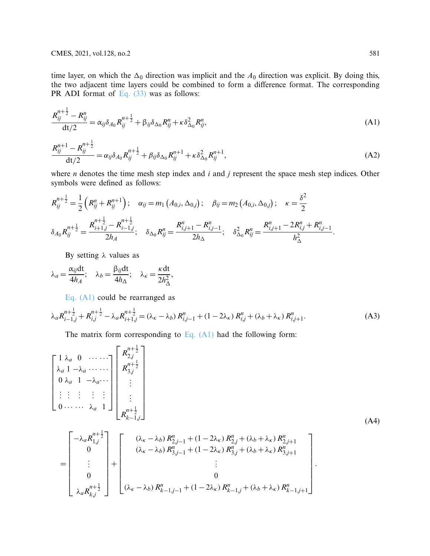time layer, on which the  $\Delta_0$  direction was implicit and the  $A_0$  direction was explicit. By doing this, the two adjacent time layers could be combined to form a difference format. The corresponding PR ADI format of [Eq. \(33\)](#page-7-2) was as follows:

$$
\frac{R_{ij}^{n+\frac{1}{2}} - R_{ij}^n}{\mathrm{dt}/2} = \alpha_{ij}\delta_{A_0}R_{ij}^{n+\frac{1}{2}} + \beta_{ij}\delta_{\Delta_0}R_{ij}^n + \kappa \delta_{\Delta_0}^2 R_{ij}^n, \tag{A1}
$$

$$
\frac{R_{ij}^{n+1} - R_{ij}^{n+\frac{1}{2}}}{\mathrm{d}t/2} = \alpha_{ij}\delta_{A_0}R_{ij}^{n+\frac{1}{2}} + \beta_{ij}\delta_{\Delta_0}R_{ij}^{n+1} + \kappa\delta_{\Delta_0}^2R_{ij}^{n+1},\tag{A2}
$$

where *n* denotes the time mesh step index and *i* and *j* represent the space mesh step indices. Other symbols were defined as follows:

$$
R_{ij}^{n+\frac{1}{2}} = \frac{1}{2} \left( R_{ij}^n + R_{ij}^{n+1} \right); \quad \alpha_{ij} = m_1 \left( A_{0,i}, \Delta_{0,j} \right); \quad \beta_{ij} = m_2 \left( A_{0,i}, \Delta_{0,j} \right); \quad \kappa = \frac{\delta^2}{2}
$$
\n
$$
\delta_{A_0} R_{ij}^{n+\frac{1}{2}} = \frac{R_{i+1,j}^{n+\frac{1}{2}} - R_{i-1,j}^{n+\frac{1}{2}}}{2h_A}; \quad \delta_{\Delta_0} R_{ij}^n = \frac{R_{i,j+1}^n - R_{i,j-1}^n}{2h_\Delta}; \quad \delta_{\Delta_0}^2 R_{ij}^n = \frac{R_{i,j+1}^n - 2R_{i,j}^n + R_{i,j-1}^n}{h_\Delta^2}.
$$

By setting  $λ$  values as

$$
\lambda_a = \frac{\alpha_{ij} dt}{4h_A}; \quad \lambda_b = \frac{\beta_{ij} dt}{4h_{\Delta}}; \quad \lambda_{\kappa} = \frac{\kappa dt}{2h_{\Delta}^2},
$$

[Eq. \(A1\)](#page-2-0) could be rearranged as

$$
\lambda_a R_{i-1,j}^{n+\frac{1}{2}} + R_{i,j}^{n+\frac{1}{2}} - \lambda_a R_{i+1,j}^{n+\frac{1}{2}} = (\lambda_{\kappa} - \lambda_b) R_{i,j-1}^n + (1 - 2\lambda_{\kappa}) R_{i,j}^n + (\lambda_b + \lambda_{\kappa}) R_{i,j+1}^n.
$$
 (A3)

The matrix form corresponding to [Eq. \(A1\)](#page-2-0) had the following form:

$$
\begin{bmatrix}\n1 \lambda_a & 0 & \cdots & \cdots \\
\lambda_a & 1 - \lambda_a & \cdots & \cdots \\
0 & \lambda_a & 1 - \lambda_a & \cdots \\
\vdots & \vdots & \vdots & \vdots \\
0 & \cdots & \cdots & \lambda_a & 1\n\end{bmatrix}\n\begin{bmatrix}\nR_{2,j}^{n+\frac{1}{2}} \\
R_{3,j}^{n+\frac{1}{2}} \\
\vdots \\
R_{k-1,j}^{n+\frac{1}{2}}\n\end{bmatrix}
$$
\n(A4)

$$
= \begin{bmatrix} -\lambda_a R_{1,j}^{n+\frac{1}{2}} \\ 0 \\ \vdots \\ 0 \\ 0 \\ \lambda_a R_{kj}^{n+\frac{1}{2}} \end{bmatrix} + \begin{bmatrix} (\lambda_{\kappa} - \lambda_b) R_{2,j-1}^n + (1 - 2\lambda_{\kappa}) R_{2,j}^n + (\lambda_b + \lambda_{\kappa}) R_{2,j+1}^n \\ (\lambda_{\kappa} - \lambda_b) R_{3,j-1}^n + (1 - 2\lambda_{\kappa}) R_{3,j}^n + (\lambda_b + \lambda_{\kappa}) R_{3,j+1}^n \\ \vdots \\ 0 \\ (\lambda_{\kappa} - \lambda_b) R_{k-1,j-1}^n + (1 - 2\lambda_{\kappa}) R_{k-1,j}^n + (\lambda_b + \lambda_{\kappa}) R_{k-1,j+1}^n \end{bmatrix}.
$$